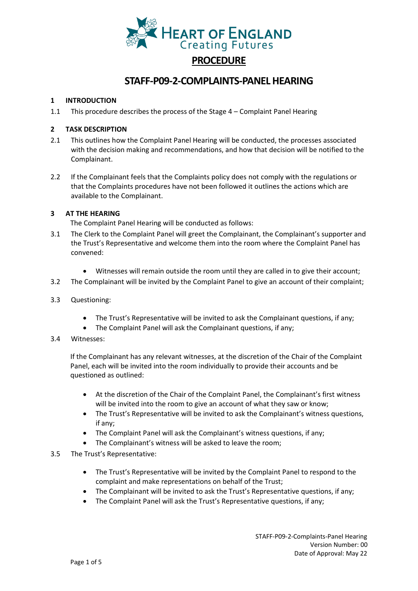

# **STAFF-P09-2-COMPLAINTS-PANEL HEARING**

# **1 INTRODUCTION**

1.1 This procedure describes the process of the Stage 4 – Complaint Panel Hearing

# **2 TASK DESCRIPTION**

- 2.1 This outlines how the Complaint Panel Hearing will be conducted, the processes associated with the decision making and recommendations, and how that decision will be notified to the Complainant.
- 2.2 If the Complainant feels that the Complaints policy does not comply with the regulations or that the Complaints procedures have not been followed it outlines the actions which are available to the Complainant.

## **3 AT THE HEARING**

The Complaint Panel Hearing will be conducted as follows:

- 3.1 The Clerk to the Complaint Panel will greet the Complainant, the Complainant's supporter and the Trust's Representative and welcome them into the room where the Complaint Panel has convened:
	- Witnesses will remain outside the room until they are called in to give their account;
- 3.2 The Complainant will be invited by the Complaint Panel to give an account of their complaint;
- 3.3 Questioning:
	- The Trust's Representative will be invited to ask the Complainant questions, if any;
	- The Complaint Panel will ask the Complainant questions, if any;

### 3.4 Witnesses:

If the Complainant has any relevant witnesses, at the discretion of the Chair of the Complaint Panel, each will be invited into the room individually to provide their accounts and be questioned as outlined:

- At the discretion of the Chair of the Complaint Panel, the Complainant's first witness will be invited into the room to give an account of what they saw or know:
- The Trust's Representative will be invited to ask the Complainant's witness questions, if any;
- The Complaint Panel will ask the Complainant's witness questions, if any;
- The Complainant's witness will be asked to leave the room;
- 3.5 The Trust's Representative:
	- The Trust's Representative will be invited by the Complaint Panel to respond to the complaint and make representations on behalf of the Trust;
	- The Complainant will be invited to ask the Trust's Representative questions, if any;
	- The Complaint Panel will ask the Trust's Representative questions, if any;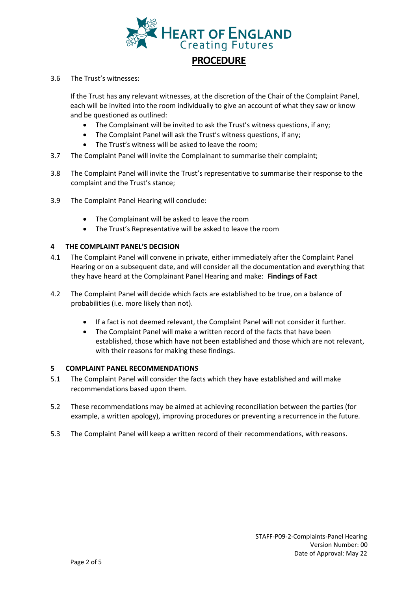

### 3.6 The Trust's witnesses:

If the Trust has any relevant witnesses, at the discretion of the Chair of the Complaint Panel, each will be invited into the room individually to give an account of what they saw or know and be questioned as outlined:

- The Complainant will be invited to ask the Trust's witness questions, if any;
- The Complaint Panel will ask the Trust's witness questions, if any;
- The Trust's witness will be asked to leave the room;
- 3.7 The Complaint Panel will invite the Complainant to summarise their complaint;
- 3.8 The Complaint Panel will invite the Trust's representative to summarise their response to the complaint and the Trust's stance;
- 3.9 The Complaint Panel Hearing will conclude:
	- The Complainant will be asked to leave the room
	- The Trust's Representative will be asked to leave the room

## **4 THE COMPLAINT PANEL'S DECISION**

- 4.1 The Complaint Panel will convene in private, either immediately after the Complaint Panel Hearing or on a subsequent date, and will consider all the documentation and everything that they have heard at the Complainant Panel Hearing and make: **Findings of Fact**
- 4.2 The Complaint Panel will decide which facts are established to be true, on a balance of probabilities (i.e. more likely than not).
	- If a fact is not deemed relevant, the Complaint Panel will not consider it further.
	- The Complaint Panel will make a written record of the facts that have been established, those which have not been established and those which are not relevant, with their reasons for making these findings.

### **5 COMPLAINT PANEL RECOMMENDATIONS**

- 5.1 The Complaint Panel will consider the facts which they have established and will make recommendations based upon them.
- 5.2 These recommendations may be aimed at achieving reconciliation between the parties (for example, a written apology), improving procedures or preventing a recurrence in the future.
- 5.3 The Complaint Panel will keep a written record of their recommendations, with reasons.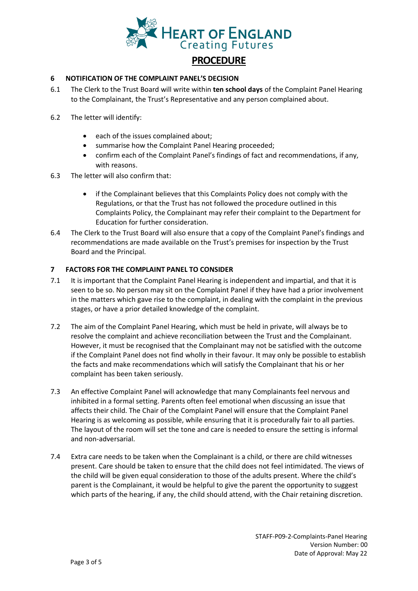

## **6 NOTIFICATION OF THE COMPLAINT PANEL'S DECISION**

- 6.1 The Clerk to the Trust Board will write within **ten school days** of the Complaint Panel Hearing to the Complainant, the Trust's Representative and any person complained about.
- 6.2 The letter will identify:
	- each of the issues complained about;
	- summarise how the Complaint Panel Hearing proceeded;
	- confirm each of the Complaint Panel's findings of fact and recommendations, if any, with reasons.
- 6.3 The letter will also confirm that:
	- if the Complainant believes that this Complaints Policy does not comply with the Regulations, or that the Trust has not followed the procedure outlined in this Complaints Policy, the Complainant may refer their complaint to the Department for Education for further consideration.
- 6.4 The Clerk to the Trust Board will also ensure that a copy of the Complaint Panel's findings and recommendations are made available on the Trust's premises for inspection by the Trust Board and the Principal.

## **7 FACTORS FOR THE COMPLAINT PANEL TO CONSIDER**

- 7.1 It is important that the Complaint Panel Hearing is independent and impartial, and that it is seen to be so. No person may sit on the Complaint Panel if they have had a prior involvement in the matters which gave rise to the complaint, in dealing with the complaint in the previous stages, or have a prior detailed knowledge of the complaint.
- 7.2 The aim of the Complaint Panel Hearing, which must be held in private, will always be to resolve the complaint and achieve reconciliation between the Trust and the Complainant. However, it must be recognised that the Complainant may not be satisfied with the outcome if the Complaint Panel does not find wholly in their favour. It may only be possible to establish the facts and make recommendations which will satisfy the Complainant that his or her complaint has been taken seriously.
- 7.3 An effective Complaint Panel will acknowledge that many Complainants feel nervous and inhibited in a formal setting. Parents often feel emotional when discussing an issue that affects their child. The Chair of the Complaint Panel will ensure that the Complaint Panel Hearing is as welcoming as possible, while ensuring that it is procedurally fair to all parties. The layout of the room will set the tone and care is needed to ensure the setting is informal and non-adversarial.
- 7.4 Extra care needs to be taken when the Complainant is a child, or there are child witnesses present. Care should be taken to ensure that the child does not feel intimidated. The views of the child will be given equal consideration to those of the adults present. Where the child's parent is the Complainant, it would be helpful to give the parent the opportunity to suggest which parts of the hearing, if any, the child should attend, with the Chair retaining discretion.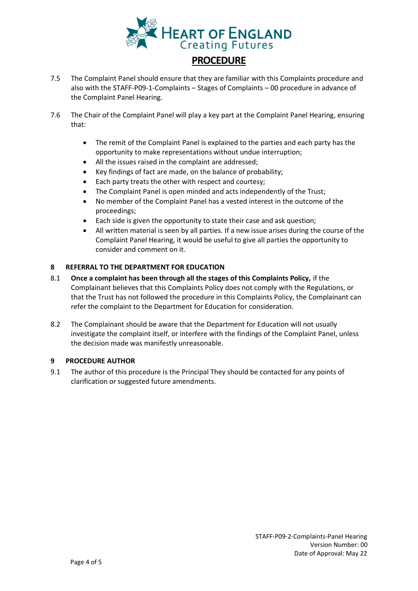

- 7.5 The Complaint Panel should ensure that they are familiar with this Complaints procedure and also with the STAFF-P09-1-Complaints – Stages of Complaints – 00 procedure in advance of the Complaint Panel Hearing.
- 7.6 The Chair of the Complaint Panel will play a key part at the Complaint Panel Hearing, ensuring that:
	- The remit of the Complaint Panel is explained to the parties and each party has the opportunity to make representations without undue interruption;
	- All the issues raised in the complaint are addressed;
	- Key findings of fact are made, on the balance of probability;
	- Each party treats the other with respect and courtesy;
	- The Complaint Panel is open minded and acts independently of the Trust;
	- No member of the Complaint Panel has a vested interest in the outcome of the proceedings;
	- Each side is given the opportunity to state their case and ask question;
	- All written material is seen by all parties. If a new issue arises during the course of the Complaint Panel Hearing, it would be useful to give all parties the opportunity to consider and comment on it.

### **8 REFERRAL TO THE DEPARTMENT FOR EDUCATION**

- 8.1 **Once a complaint has been through all the stages of this Complaints Policy,** if the Complainant believes that this Complaints Policy does not comply with the Regulations, or that the Trust has not followed the procedure in this Complaints Policy, the Complainant can refer the complaint to the Department for Education for consideration.
- 8.2 The Complainant should be aware that the Department for Education will not usually investigate the complaint itself, or interfere with the findings of the Complaint Panel, unless the decision made was manifestly unreasonable.

### **9 PROCEDURE AUTHOR**

9.1 The author of this procedure is the Principal They should be contacted for any points of clarification or suggested future amendments.